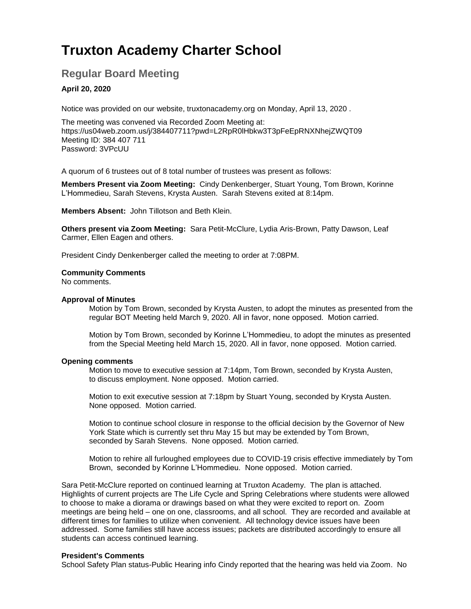# **Truxton Academy Charter School**

# **Regular Board Meeting**

# **April 20, 2020**

Notice was provided on our website, truxtonacademy.org on Monday, April 13, 2020 .

The meeting was convened via Recorded Zoom Meeting at: <https://us04web.zoom.us/j/384407711?pwd=L2RpR0lHbkw3T3pFeEpRNXNhejZWQT09> Meeting ID: 384 407 711 Password: 3VPcUU

A quorum of 6 trustees out of 8 total number of trustees was present as follows:

**Members Present via Zoom Meeting:** Cindy Denkenberger, Stuart Young, Tom Brown, Korinne L'Hommedieu, Sarah Stevens, Krysta Austen. Sarah Stevens exited at 8:14pm.

**Members Absent:** John Tillotson and Beth Klein.

**Others present via Zoom Meeting:** Sara Petit-McClure, Lydia Aris-Brown, Patty Dawson, Leaf Carmer, Ellen Eagen and others.

President Cindy Denkenberger called the meeting to order at 7:08PM.

# **Community Comments**

No comments.

# **Approval of Minutes**

Motion by Tom Brown, seconded by Krysta Austen, to adopt the minutes as presented from the regular BOT Meeting held March 9, 2020. All in favor, none opposed. Motion carried.

Motion by Tom Brown, seconded by Korinne L'Hommedieu, to adopt the minutes as presented from the Special Meeting held March 15, 2020. All in favor, none opposed. Motion carried.

# **Opening comments**

Motion to move to executive session at 7:14pm, Tom Brown, seconded by Krysta Austen, to discuss employment. None opposed. Motion carried.

Motion to exit executive session at 7:18pm by Stuart Young, seconded by Krysta Austen. None opposed. Motion carried.

Motion to continue school closure in response to the official decision by the Governor of New York State which is currently set thru May 15 but may be extended by Tom Brown, seconded by Sarah Stevens. None opposed. Motion carried.

Motion to rehire all furloughed employees due to COVID-19 crisis effective immediately by Tom Brown, seconded by Korinne L'Hommedieu. None opposed. Motion carried.

Sara Petit-McClure reported on continued learning at Truxton Academy. The plan is attached. Highlights of current projects are The Life Cycle and Spring Celebrations where students were allowed to choose to make a diorama or drawings based on what they were excited to report on. Zoom meetings are being held – one on one, classrooms, and all school. They are recorded and available at different times for families to utilize when convenient. All technology device issues have been addressed. Some families still have access issues; packets are distributed accordingly to ensure all students can access continued learning.

# **President's Comments**

School Safety Plan status-Public Hearing info Cindy reported that the hearing was held via Zoom. No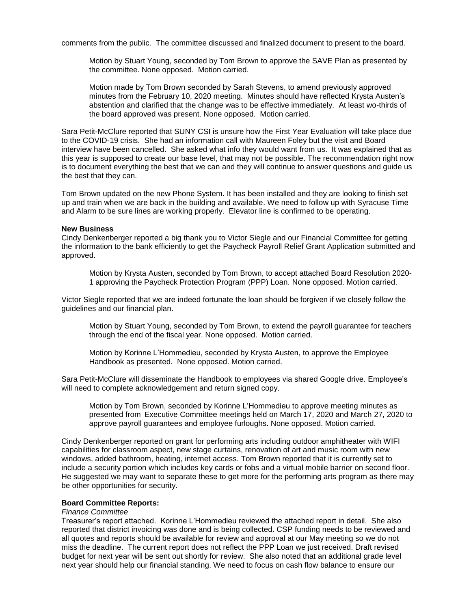comments from the public. The committee discussed and finalized document to present to the board.

Motion by Stuart Young, seconded by Tom Brown to approve the SAVE Plan as presented by the committee. None opposed. Motion carried.

Motion made by Tom Brown seconded by Sarah Stevens, to amend previously approved minutes from the February 10, 2020 meeting. Minutes should have reflected Krysta Austen's abstention and clarified that the change was to be effective immediately. At least wo-thirds of the board approved was present. None opposed. Motion carried.

Sara Petit-McClure reported that SUNY CSI is unsure how the First Year Evaluation will take place due to the COVID-19 crisis. She had an information call with Maureen Foley but the visit and Board interview have been cancelled. She asked what info they would want from us. It was explained that as this year is supposed to create our base level, that may not be possible. The recommendation right now is to document everything the best that we can and they will continue to answer questions and guide us the best that they can.

Tom Brown updated on the new Phone System. It has been installed and they are looking to finish set up and train when we are back in the building and available. We need to follow up with Syracuse Time and Alarm to be sure lines are working properly. Elevator line is confirmed to be operating.

### **New Business**

Cindy Denkenberger reported a big thank you to Victor Siegle and our Financial Committee for getting the information to the bank efficiently to get the Paycheck Payroll Relief Grant Application submitted and approved.

Motion by Krysta Austen, seconded by Tom Brown, to accept attached Board Resolution 2020- 1 approving the Paycheck Protection Program (PPP) Loan. None opposed. Motion carried.

Victor Siegle reported that we are indeed fortunate the loan should be forgiven if we closely follow the guidelines and our financial plan.

Motion by Stuart Young, seconded by Tom Brown, to extend the payroll guarantee for teachers through the end of the fiscal year. None opposed. Motion carried.

Motion by Korinne L'Hommedieu, seconded by Krysta Austen, to approve the Employee Handbook as presented. None opposed. Motion carried.

Sara Petit-McClure will disseminate the Handbook to employees via shared Google drive. Employee's will need to complete acknowledgement and return signed copy.

Motion by Tom Brown, seconded by Korinne L'Hommedieu to approve meeting minutes as presented from Executive Committee meetings held on March 17, 2020 and March 27, 2020 to approve payroll guarantees and employee furloughs. None opposed. Motion carried.

Cindy Denkenberger reported on grant for performing arts including outdoor amphitheater with WIFI capabilities for classroom aspect, new stage curtains, renovation of art and music room with new windows, added bathroom, heating, internet access. Tom Brown reported that it is currently set to include a security portion which includes key cards or fobs and a virtual mobile barrier on second floor. He suggested we may want to separate these to get more for the performing arts program as there may be other opportunities for security.

#### **Board Committee Reports:**

# *Finance Committee*

Treasurer's report attached. Korinne L'Hommedieu reviewed the attached report in detail. She also reported that district invoicing was done and is being collected. CSP funding needs to be reviewed and all quotes and reports should be available for review and approval at our May meeting so we do not miss the deadline. The current report does not reflect the PPP Loan we just received. Draft revised budget for next year will be sent out shortly for review. She also noted that an additional grade level next year should help our financial standing. We need to focus on cash flow balance to ensure our